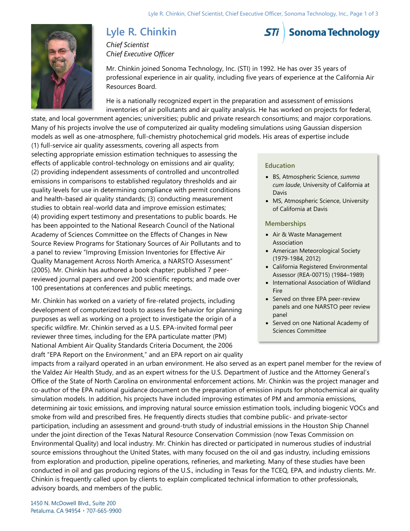# **Lyle R. Chinkin**



*Chief Scientist Chief Executive Officer*

Mr. Chinkin joined Sonoma Technology, Inc. (STI) in 1992. He has over 35 years of professional experience in air quality, including five years of experience at the California Air Resources Board.

He is a nationally recognized expert in the preparation and assessment of emissions inventories of air pollutants and air quality analysis. He has worked on projects for federal,

state, and local government agencies; universities; public and private research consortiums; and major corporations. Many of his projects involve the use of computerized air quality modeling simulations using Gaussian dispersion models as well as one-atmosphere, full-chemistry photochemical grid models. His areas of expertise include

(1) full-service air quality assessments, covering all aspects from selecting appropriate emission estimation techniques to assessing the effects of applicable control-technology on emissions and air quality; (2) providing independent assessments of controlled and uncontrolled emissions in comparisons to established regulatory thresholds and air quality levels for use in determining compliance with permit conditions and health-based air quality standards; (3) conducting measurement studies to obtain real-world data and improve emission estimates; (4) providing expert testimony and presentations to public boards. He has been appointed to the National Research Council of the National Academy of Sciences Committee on the Effects of Changes in New Source Review Programs for Stationary Sources of Air Pollutants and to a panel to review "Improving Emission Inventories for Effective Air Quality Management Across North America, a NARSTO Assessment" (2005). Mr. Chinkin has authored a book chapter; published 7 peerreviewed journal papers and over 200 scientific reports; and made over 100 presentations at conferences and public meetings.

Mr. Chinkin has worked on a variety of fire-related projects, including development of computerized tools to assess fire behavior for planning purposes as well as working on a project to investigate the origin of a specific wildfire. Mr. Chinkin served as a U.S. EPA-invited formal peer reviewer three times, including for the EPA particulate matter (PM) National Ambient Air Quality Standards Criteria Document, the 2006 draft "EPA Report on the Environment," and an EPA report on air quality

# **Education**

- BS, Atmospheric Science, *summa cum laude*, University of California at Davis
- MS, Atmospheric Science, University of California at Davis

### **Memberships**

- Air & Waste Management Association
- American Meteorological Society (1979-1984, 2012)
- California Registered Environmental Assessor (REA-00715) (1984–1989)
- International Association of Wildland Fire
- Served on three EPA peer-review panels and one NARSTO peer review panel
- Served on one National Academy of Sciences Committee

impacts from a railyard operated in an urban environment. He also served as an expert panel member for the review of the Valdez Air Health Study, and as an expert witness for the U.S. Department of Justice and the Attorney General's Office of the State of North Carolina on environmental enforcement actions. Mr. Chinkin was the project manager and co-author of the EPA national guidance document on the preparation of emission inputs for photochemical air quality simulation models. In addition, his projects have included improving estimates of PM and ammonia emissions, determining air toxic emissions, and improving natural source emission estimation tools, including biogenic VOCs and smoke from wild and prescribed fires. He frequently directs studies that combine public- and private-sector participation, including an assessment and ground-truth study of industrial emissions in the Houston Ship Channel under the joint direction of the Texas Natural Resource Conservation Commission (now Texas Commission on Environmental Quality) and local industry. Mr. Chinkin has directed or participated in numerous studies of industrial source emissions throughout the United States, with many focused on the oil and gas industry, including emissions from exploration and production, pipeline operations, refineries, and marketing. Many of these studies have been conducted in oil and gas producing regions of the U.S., including in Texas for the TCEQ, EPA, and industry clients. Mr. Chinkin is frequently called upon by clients to explain complicated technical information to other professionals, advisory boards, and members of the public.

1450 N. McDowell Blvd., Suite 200 Petaluma, CA 94954 · 707-665-9900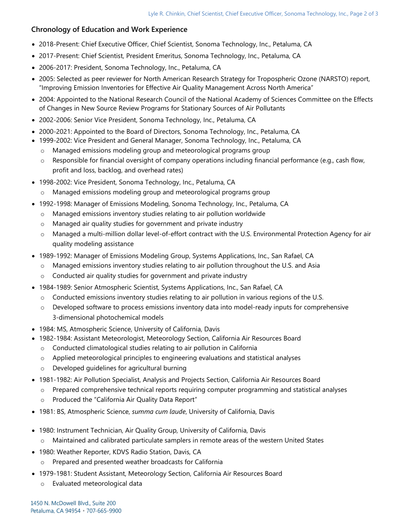# **Chronology of Education and Work Experience**

- 2018-Present: Chief Executive Officer, Chief Scientist, Sonoma Technology, Inc., Petaluma, CA
- 2017-Present: Chief Scientist, President Emeritus, Sonoma Technology, Inc., Petaluma, CA
- 2006-2017: President, Sonoma Technology, Inc., Petaluma, CA
- 2005: Selected as peer reviewer for North American Research Strategy for Tropospheric Ozone (NARSTO) report, "Improving Emission Inventories for Effective Air Quality Management Across North America"
- 2004: Appointed to the National Research Council of the National Academy of Sciences Committee on the Effects of Changes in New Source Review Programs for Stationary Sources of Air Pollutants
- 2002-2006: Senior Vice President, Sonoma Technology, Inc., Petaluma, CA
- 2000-2021: Appointed to the Board of Directors, Sonoma Technology, Inc., Petaluma, CA
- 1999-2002: Vice President and General Manager, Sonoma Technology, Inc., Petaluma, CA
	- o Managed emissions modeling group and meteorological programs group
	- o Responsible for financial oversight of company operations including financial performance (e.g., cash flow, profit and loss, backlog, and overhead rates)
- 1998-2002: Vice President, Sonoma Technology, Inc., Petaluma, CA
	- o Managed emissions modeling group and meteorological programs group
- 1992-1998: Manager of Emissions Modeling, Sonoma Technology, Inc., Petaluma, CA
	- o Managed emissions inventory studies relating to air pollution worldwide
	- o Managed air quality studies for government and private industry
	- o Managed a multi-million dollar level-of-effort contract with the U.S. Environmental Protection Agency for air quality modeling assistance
- 1989-1992: Manager of Emissions Modeling Group, Systems Applications, Inc., San Rafael, CA
	- o Managed emissions inventory studies relating to air pollution throughout the U.S. and Asia
	- o Conducted air quality studies for government and private industry
- 1984-1989: Senior Atmospheric Scientist, Systems Applications, Inc., San Rafael, CA
	- $\circ$  Conducted emissions inventory studies relating to air pollution in various regions of the U.S.
	- o Developed software to process emissions inventory data into model-ready inputs for comprehensive 3-dimensional photochemical models
- 1984: MS, Atmospheric Science, University of California, Davis
- 1982-1984: Assistant Meteorologist, Meteorology Section, California Air Resources Board
	- o Conducted climatological studies relating to air pollution in California
	- $\circ$  Applied meteorological principles to engineering evaluations and statistical analyses
	- o Developed guidelines for agricultural burning
- 1981-1982: Air Pollution Specialist, Analysis and Projects Section, California Air Resources Board
	- o Prepared comprehensive technical reports requiring computer programming and statistical analyses
	- o Produced the "California Air Quality Data Report"
- 1981: BS, Atmospheric Science, *summa cum laude*, University of California, Davis
- 1980: Instrument Technician, Air Quality Group, University of California, Davis o Maintained and calibrated particulate samplers in remote areas of the western United States
- 1980: Weather Reporter, KDVS Radio Station, Davis, CA o Prepared and presented weather broadcasts for California
- 1979-1981: Student Assistant, Meteorology Section, California Air Resources Board
	- o Evaluated meteorological data